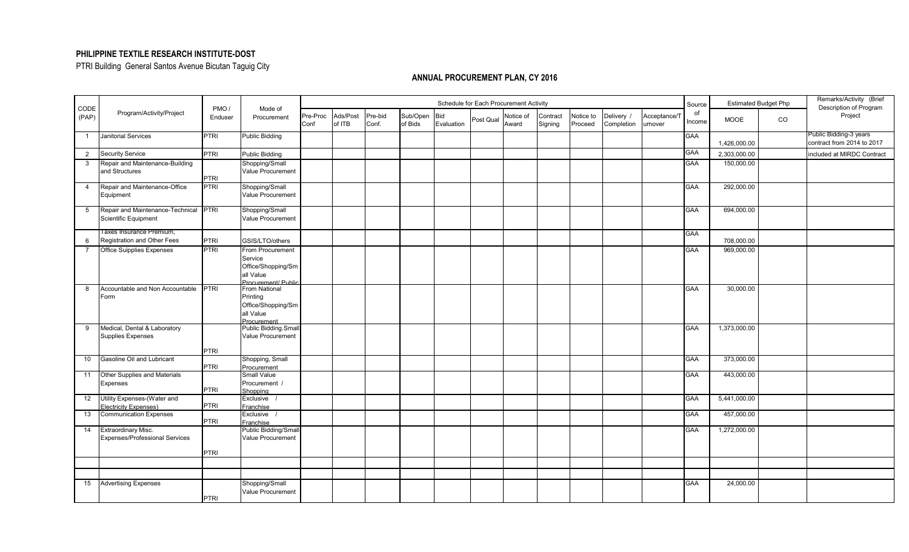## **PHILIPPINE TEXTILE RESEARCH INSTITUTE-DOST**

PTRI Building General Santos Avenue Bicutan Taguig City

## **ANNUAL PROCUREMENT PLAN, CY 2016**

|                | Program/Activity/Project                   | PMO/<br>Enduser | Mode of<br>Procurement              | Schedule for Each Procurement Activity |                    |                  |                     |                   |           |                    |                     |                      |                          |                         | Source       | <b>Estimated Budget Php</b> |    | Remarks/Activity (Brief<br>Description of Program    |
|----------------|--------------------------------------------|-----------------|-------------------------------------|----------------------------------------|--------------------|------------------|---------------------|-------------------|-----------|--------------------|---------------------|----------------------|--------------------------|-------------------------|--------------|-----------------------------|----|------------------------------------------------------|
| CODE<br>(PAP)  |                                            |                 |                                     | Pre-Proc<br>Conf                       | Ads/Post<br>of ITB | Pre-bid<br>Conf. | Sub/Open<br>of Bids | Bid<br>Evaluation | Post Qual | Notice of<br>Award | Contract<br>Signing | Notice to<br>Proceed | Delivery /<br>Completion | Acceptance/7<br>urnover | of<br>Income | <b>MOOE</b>                 | CO | Project                                              |
| $\overline{1}$ | <b>Janitorial Services</b>                 | <b>PTRI</b>     | <b>Public Bidding</b>               |                                        |                    |                  |                     |                   |           |                    |                     |                      |                          |                         | <b>GAA</b>   | 1,426,000.00                |    | Public Bidding-3 years<br>contract from 2014 to 2017 |
| $\overline{2}$ | <b>Security Service</b>                    | <b>PTRI</b>     | <b>Public Bidding</b>               |                                        |                    |                  |                     |                   |           |                    |                     |                      |                          |                         | <b>GAA</b>   | 2,303,000.00                |    | included at MIRDC Contract                           |
| $\mathbf{3}$   | Repair and Maintenance-Building            |                 | Shopping/Small                      |                                        |                    |                  |                     |                   |           |                    |                     |                      |                          |                         | <b>GAA</b>   | 150,000.00                  |    |                                                      |
|                | and Structures                             | <b>PTRI</b>     | Value Procurement                   |                                        |                    |                  |                     |                   |           |                    |                     |                      |                          |                         |              |                             |    |                                                      |
| $\overline{4}$ | Repair and Maintenance-Office<br>Equipment | <b>PTRI</b>     | Shopping/Small<br>Value Procurement |                                        |                    |                  |                     |                   |           |                    |                     |                      |                          |                         | <b>GAA</b>   | 292,000.00                  |    |                                                      |
|                |                                            |                 |                                     |                                        |                    |                  |                     |                   |           |                    |                     |                      |                          |                         |              |                             |    |                                                      |
| 5              | Repair and Maintenance-Technical PTRI      |                 | Shopping/Small                      |                                        |                    |                  |                     |                   |           |                    |                     |                      |                          |                         | <b>GAA</b>   | 694,000.00                  |    |                                                      |
|                | Scientific Equipment                       |                 | <b>Value Procurement</b>            |                                        |                    |                  |                     |                   |           |                    |                     |                      |                          |                         |              |                             |    |                                                      |
|                | I axes Insurance Premium,                  |                 |                                     |                                        |                    |                  |                     |                   |           |                    |                     |                      |                          |                         | <b>GAA</b>   |                             |    |                                                      |
| 6              | Registration and Other Fees                | <b>PTRI</b>     | GSIS/LTO/others                     |                                        |                    |                  |                     |                   |           |                    |                     |                      |                          |                         |              | 708,000.00                  |    |                                                      |
| $\overline{7}$ | <b>Office Suipplies Expenses</b>           | <b>PTRI</b>     | From Procurement                    |                                        |                    |                  |                     |                   |           |                    |                     |                      |                          |                         | GAA          | 969,000.00                  |    |                                                      |
|                |                                            |                 | Service                             |                                        |                    |                  |                     |                   |           |                    |                     |                      |                          |                         |              |                             |    |                                                      |
|                |                                            |                 | Office/Shopping/Sm                  |                                        |                    |                  |                     |                   |           |                    |                     |                      |                          |                         |              |                             |    |                                                      |
|                |                                            |                 | all Value<br>Procurement/ Public    |                                        |                    |                  |                     |                   |           |                    |                     |                      |                          |                         |              |                             |    |                                                      |
| 8              | Accountable and Non Accountable            | <b>PTRI</b>     | From National                       |                                        |                    |                  |                     |                   |           |                    |                     |                      |                          |                         | <b>GAA</b>   | 30,000.00                   |    |                                                      |
|                | Form                                       |                 | Printing                            |                                        |                    |                  |                     |                   |           |                    |                     |                      |                          |                         |              |                             |    |                                                      |
|                |                                            |                 | Office/Shopping/Sm                  |                                        |                    |                  |                     |                   |           |                    |                     |                      |                          |                         |              |                             |    |                                                      |
|                |                                            |                 | all Value                           |                                        |                    |                  |                     |                   |           |                    |                     |                      |                          |                         |              |                             |    |                                                      |
| 9              | Medical, Dental & Laboratory               |                 | Procurement<br>Public Bidding.Small |                                        |                    |                  |                     |                   |           |                    |                     |                      |                          |                         | <b>GAA</b>   | 1,373,000.00                |    |                                                      |
|                | <b>Supplies Expenses</b>                   |                 | Value Procurement                   |                                        |                    |                  |                     |                   |           |                    |                     |                      |                          |                         |              |                             |    |                                                      |
|                |                                            |                 |                                     |                                        |                    |                  |                     |                   |           |                    |                     |                      |                          |                         |              |                             |    |                                                      |
|                |                                            | <b>PTRI</b>     |                                     |                                        |                    |                  |                     |                   |           |                    |                     |                      |                          |                         |              |                             |    |                                                      |
| 10             | Gasoline Oil and Lubricant                 |                 | Shopping, Small                     |                                        |                    |                  |                     |                   |           |                    |                     |                      |                          |                         | <b>GAA</b>   | 373,000.00                  |    |                                                      |
| 11             | Other Supplies and Materials               | <b>PTRI</b>     | Procurement<br>Small Value          |                                        |                    |                  |                     |                   |           |                    |                     |                      |                          |                         | <b>GAA</b>   | 443,000.00                  |    |                                                      |
|                | Expenses                                   |                 | Procurement /                       |                                        |                    |                  |                     |                   |           |                    |                     |                      |                          |                         |              |                             |    |                                                      |
|                |                                            | <b>PTRI</b>     | Shoppina                            |                                        |                    |                  |                     |                   |           |                    |                     |                      |                          |                         |              |                             |    |                                                      |
| 12             | Utility Expenses-(Water and                |                 | Exclusive /                         |                                        |                    |                  |                     |                   |           |                    |                     |                      |                          |                         | <b>GAA</b>   | 5,441,000.00                |    |                                                      |
|                | Electricity Expenses)                      | <b>PTRI</b>     | Franchise                           |                                        |                    |                  |                     |                   |           |                    |                     |                      |                          |                         |              |                             |    |                                                      |
| 13             | <b>Communication Expenses</b>              | <b>PTRI</b>     | Exclusive /                         |                                        |                    |                  |                     |                   |           |                    |                     |                      |                          |                         | <b>GAA</b>   | 457,000.00                  |    |                                                      |
| 14             | <b>Extraordinary Misc.</b>                 |                 | Franchise<br>Public Bidding/Small   |                                        |                    |                  |                     |                   |           |                    |                     |                      |                          |                         | <b>GAA</b>   | 1,272,000.00                |    |                                                      |
|                | <b>Expenses/Professional Services</b>      |                 | <b>Value Procurement</b>            |                                        |                    |                  |                     |                   |           |                    |                     |                      |                          |                         |              |                             |    |                                                      |
|                |                                            |                 |                                     |                                        |                    |                  |                     |                   |           |                    |                     |                      |                          |                         |              |                             |    |                                                      |
|                |                                            | <b>PTRI</b>     |                                     |                                        |                    |                  |                     |                   |           |                    |                     |                      |                          |                         |              |                             |    |                                                      |
|                |                                            |                 |                                     |                                        |                    |                  |                     |                   |           |                    |                     |                      |                          |                         |              |                             |    |                                                      |
|                |                                            |                 |                                     |                                        |                    |                  |                     |                   |           |                    |                     |                      |                          |                         |              |                             |    |                                                      |
| 15             | <b>Advertising Expenses</b>                |                 | Shopping/Small                      |                                        |                    |                  |                     |                   |           |                    |                     |                      |                          |                         | <b>GAA</b>   | 24,000.00                   |    |                                                      |
|                |                                            |                 | <b>Value Procurement</b>            |                                        |                    |                  |                     |                   |           |                    |                     |                      |                          |                         |              |                             |    |                                                      |
|                |                                            | <b>PTRI</b>     |                                     |                                        |                    |                  |                     |                   |           |                    |                     |                      |                          |                         |              |                             |    |                                                      |